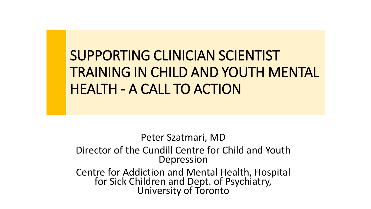SUPPORTING CLINICIAN SCIENTIST TRAINING IN CHILD AND YOUTH MENTAL HEALTH - A CALL TO ACTION

Peter Szatmari, MD

Director of the Cundill Centre for Child and Youth Depression

Centre for Addiction and Mental Health, Hospital for Sick Children and Dept. of Psychiatry, University of Toronto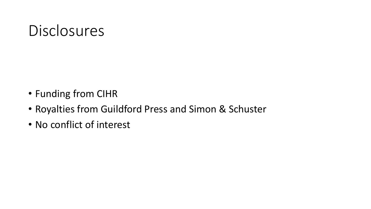#### Disclosures

- Funding from CIHR
- Royalties from Guildford Press and Simon & Schuster
- No conflict of interest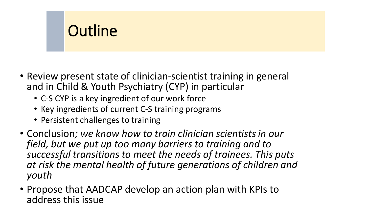#### **Outline**

- Review present state of clinician-scientist training in general and in Child & Youth Psychiatry (CYP) in particular
	- C-S CYP is a key ingredient of our work force
	- Key ingredients of current C-S training programs
	- Persistent challenges to training
- Conclusion*; we know how to train clinician scientists in our field, but we put up too many barriers to training and to successful transitions to meet the needs of trainees. This puts at risk the mental health of future generations of children and youth*
- Propose that AADCAP develop an action plan with KPIs to address this issue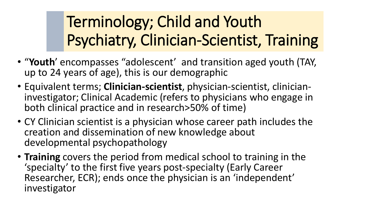# Terminology; Child and Youth Psychiatry, Clinician-Scientist, Training

- "**Youth**' encompasses "adolescent' and transition aged youth (TAY, up to 24 years of age), this is our demographic
- Equivalent terms; **Clinician-scientist**, physician-scientist, clinicianinvestigator; Clinical Academic (refers to physicians who engage in both clinical practice and in research>50% of time)
- CY Clinician scientist is a physician whose career path includes the creation and dissemination of new knowledge about developmental psychopathology
- **Training** covers the period from medical school to training in the 'specialty' to the first five years post-specialty (Early Career Researcher, ECR); ends once the physician is an 'independent' investigator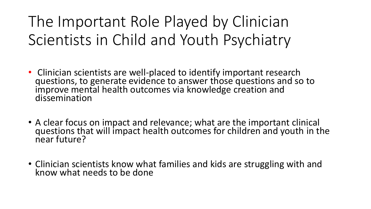The Important Role Played by Clinician Scientists in Child and Youth Psychiatry

- Clinician scientists are well-placed to identify important research questions, to generate evidence to answer those questions and so to improve mental health outcomes via knowledge creation and dissemination
- A clear focus on impact and relevance; what are the important clinical questions that will impact health outcomes for children and youth in the near future?
- Clinician scientists know what families and kids are struggling with and know what needs to be done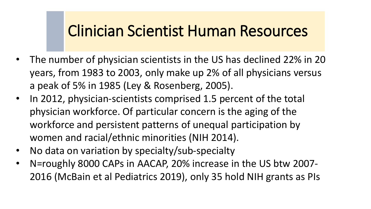#### Clinician Scientist Human Resources

- The number of physician scientists in the US has declined 22% in 20 years, from 1983 to 2003, only make up 2% of all physicians versus a peak of 5% in 1985 (Ley & Rosenberg, 2005).
- In 2012, physician-scientists comprised 1.5 percent of the total physician workforce. Of particular concern is the aging of the workforce and persistent patterns of unequal participation by women and racial/ethnic minorities (NIH 2014).
- No data on variation by specialty/sub-specialty
- N=roughly 8000 CAPs in AACAP, 20% increase in the US btw 2007- 2016 (McBain et al Pediatrics 2019), only 35 hold NIH grants as PIs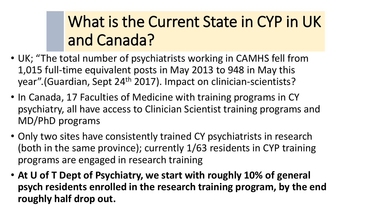## What is the Current State in CYP in UK and Canada?

- UK; "The total number of psychiatrists working in CAMHS fell from 1,015 full-time equivalent posts in May 2013 to 948 in May this year".(Guardian, Sept 24th 2017). Impact on clinician-scientists?
- In Canada, 17 Faculties of Medicine with training programs in CY psychiatry, all have access to Clinician Scientist training programs and MD/PhD programs
- Only two sites have consistently trained CY psychiatrists in research (both in the same province); currently 1/63 residents in CYP training programs are engaged in research training
- **At U of T Dept of Psychiatry, we start with roughly 10% of general psych residents enrolled in the research training program, by the end roughly half drop out.**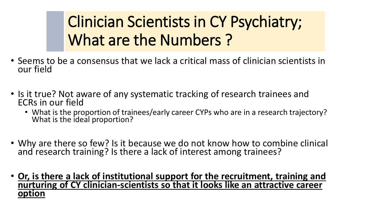Clinician Scientists in CY Psychiatry; What are the Numbers ?

- Seems to be a consensus that we lack a critical mass of clinician scientists in our field
- Is it true? Not aware of any systematic tracking of research trainees and ECRs in our field
	- What is the proportion of trainees/early career CYPs who are in a research trajectory? What is the ideal proportion?
- Why are there so few? Is it because we do not know how to combine clinical and research training? Is there a lack of interest among trainees?
- **Or, is there a lack of institutional support for the recruitment, training and nurturing of CY clinician-scientists so that it looks like an attractive career option**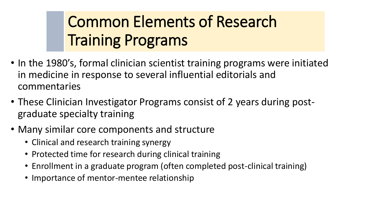# Common Elements of Research Training Programs

- In the 1980's, formal clinician scientist training programs were initiated in medicine in response to several influential editorials and commentaries
- These Clinician Investigator Programs consist of 2 years during postgraduate specialty training
- Many similar core components and structure
	- Clinical and research training synergy
	- Protected time for research during clinical training
	- Enrollment in a graduate program (often completed post-clinical training)
	- Importance of mentor-mentee relationship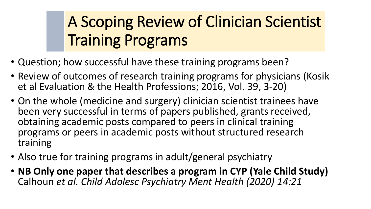# A Scoping Review of Clinician Scientist Training Programs

- Question; how successful have these training programs been?
- Review of outcomes of research training programs for physicians (Kosik et al Evaluation & the Health Professions; 2016, Vol. 39, 3-20)
- On the whole (medicine and surgery) clinician scientist trainees have been very successful in terms of papers published, grants received, obtaining academic posts compared to peers in clinical training programs or peers in academic posts without structured research training
- Also true for training programs in adult/general psychiatry
- **NB Only one paper that describes a program in CYP (Yale Child Study)**  Calhoun *et al. Child Adolesc Psychiatry Ment Health (2020) 14:21*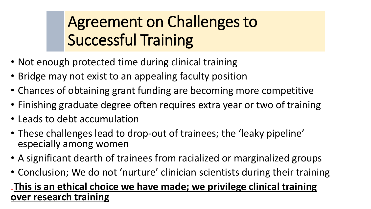## Agreement on Challenges to Successful Training

- Not enough protected time during clinical training
- Bridge may not exist to an appealing faculty position
- Chances of obtaining grant funding are becoming more competitive
- Finishing graduate degree often requires extra year or two of training
- Leads to debt accumulation
- These challenges lead to drop-out of trainees; the 'leaky pipeline' especially among women
- A significant dearth of trainees from racialized or marginalized groups
- Conclusion; We do not 'nurture' clinician scientists during their training

#### .**This is an ethical choice we have made; we privilege clinical training over research training**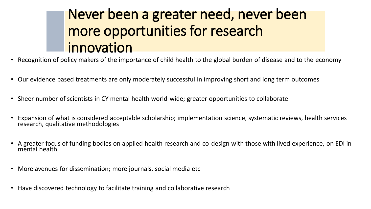#### Never been a greater need, never been more opportunities for research innovation

- Recognition of policy makers of the importance of child health to the global burden of disease and to the economy
- Our evidence based treatments are only moderately successful in improving short and long term outcomes
- Sheer number of scientists in CY mental health world-wide; greater opportunities to collaborate
- Expansion of what is considered acceptable scholarship; implementation science, systematic reviews, health services research, qualitative methodologies
- A greater focus of funding bodies on applied health research and co-design with those with lived experience, on EDI in mental health
- More avenues for dissemination; more journals, social media etc
- Have discovered technology to facilitate training and collaborative research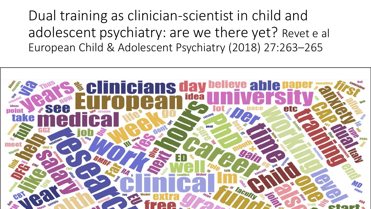Dual training as clinician-scientist in child and adolescent psychiatry: are we there yet? Revet e al European Child & Adolescent Psychiatry (2018) 27:263–265

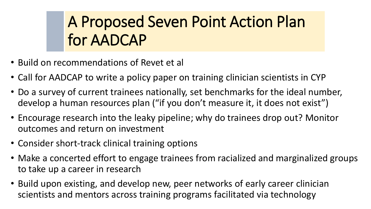## A Proposed Seven Point Action Plan for AADCAP

- Build on recommendations of Revet et al
- Call for AADCAP to write a policy paper on training clinician scientists in CYP
- Do a survey of current trainees nationally, set benchmarks for the ideal number, develop a human resources plan ("if you don't measure it, it does not exist")
- Encourage research into the leaky pipeline; why do trainees drop out? Monitor outcomes and return on investment
- Consider short-track clinical training options
- Make a concerted effort to engage trainees from racialized and marginalized groups to take up a career in research
- Build upon existing, and develop new, peer networks of early career clinician scientists and mentors across training programs facilitated via technology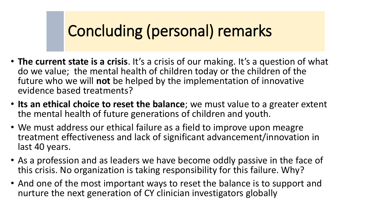### Concluding (personal) remarks

- **The current state is a crisis**. It's a crisis of our making. It's a question of what do we value; the mental health of children today or the children of the future who we will **not** be helped by the implementation of innovative evidence based treatments?
- **Its an ethical choice to reset the balance**; we must value to a greater extent the mental health of future generations of children and youth.
- We must address our ethical failure as a field to improve upon meagre treatment effectiveness and lack of significant advancement/innovation in last 40 years.
- As a profession and as leaders we have become oddly passive in the face of this crisis. No organization is taking responsibility for this failure. Why?
- And one of the most important ways to reset the balance is to support and nurture the next generation of CY clinician investigators globally